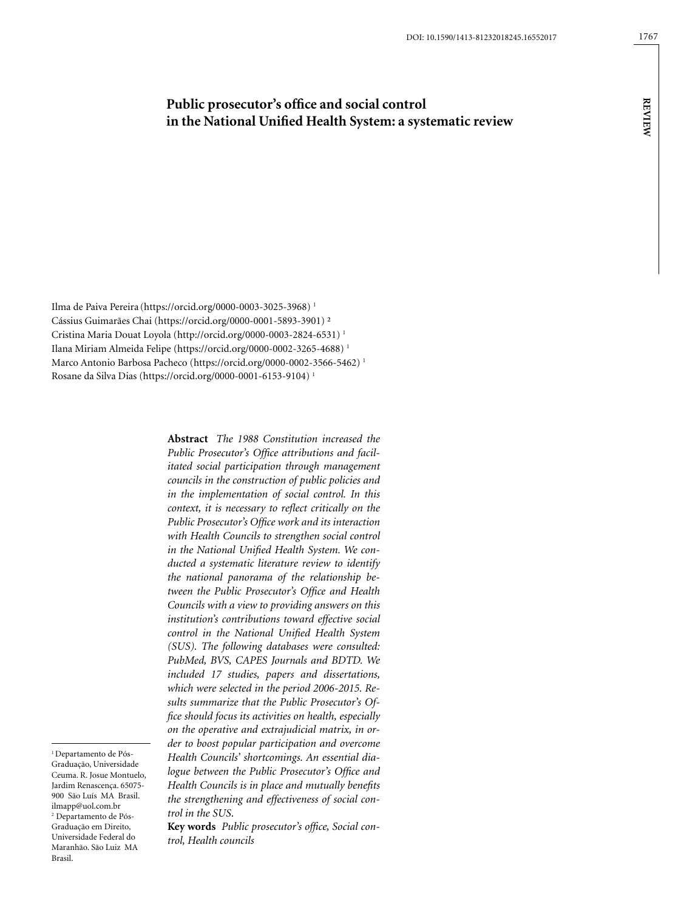# **Public prosecutor's office and social control in the National Unified Health System: a systematic review**

Ilma de Paiva Pereira (https://orcid.org/0000-0003-3025-3968) 1 Cássius Guimarães Chai (https://orcid.org/0000-0001-5893-3901) ² Cristina Maria Douat Loyola (http://orcid.org/0000-0003-2824-6531) 1 Ilana Miriam Almeida Felipe (https://orcid.org/0000-0002-3265-4688) 1 Marco Antonio Barbosa Pacheco (https://orcid.org/0000-0002-3566-5462) 1 Rosane da Silva Dias (https://orcid.org/0000-0001-6153-9104) 1

> **Abstract** *The 1988 Constitution increased the Public Prosecutor's Office attributions and facilitated social participation through management councils in the construction of public policies and in the implementation of social control. In this context, it is necessary to reflect critically on the Public Prosecutor's Office work and its interaction with Health Councils to strengthen social control in the National Unified Health System. We conducted a systematic literature review to identify the national panorama of the relationship between the Public Prosecutor's Office and Health Councils with a view to providing answers on this institution's contributions toward effective social control in the National Unified Health System (SUS). The following databases were consulted: PubMed, BVS, CAPES Journals and BDTD. We included 17 studies, papers and dissertations, which were selected in the period 2006-2015. Results summarize that the Public Prosecutor's Office should focus its activities on health, especially on the operative and extrajudicial matrix, in order to boost popular participation and overcome Health Councils' shortcomings. An essential dialogue between the Public Prosecutor's Office and Health Councils is in place and mutually benefits the strengthening and effectiveness of social control in the SUS*.

**Key words** *Public prosecutor's office, Social control, Health councils*

1 Departamento de Pós-Graduação, Universidade Ceuma. R. Josue Montuelo, Jardim Renascença. 65075- 900 São Luís MA Brasil. ilmapp@uol.com.br 2 Departamento de Pós-Graduação em Direito, Universidade Federal do Maranhão. São Luiz MA Brasil.

**REVIEW**

**REVIEW**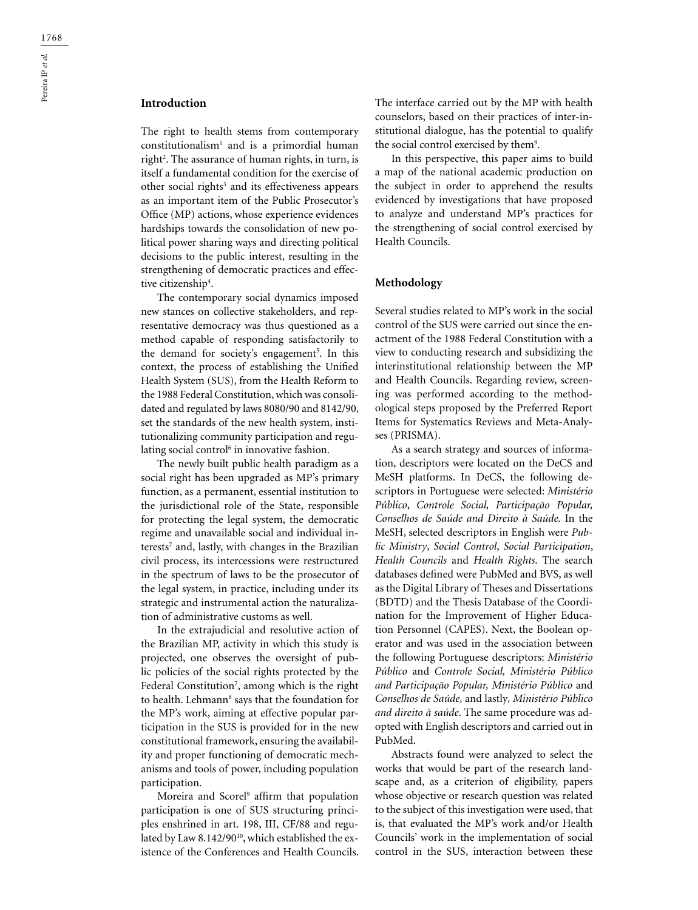The right to health stems from contemporary constitutionalism1 and is a primordial human right<sup>2</sup>. The assurance of human rights, in turn, is itself a fundamental condition for the exercise of other social rights<sup>3</sup> and its effectiveness appears as an important item of the Public Prosecutor's Office (MP) actions, whose experience evidences hardships towards the consolidation of new political power sharing ways and directing political decisions to the public interest, resulting in the strengthening of democratic practices and effective citizenship<sup>4</sup>.

The contemporary social dynamics imposed new stances on collective stakeholders, and representative democracy was thus questioned as a method capable of responding satisfactorily to the demand for society's engagement<sup>5</sup>. In this context, the process of establishing the Unified Health System (SUS), from the Health Reform to the 1988 Federal Constitution, which was consolidated and regulated by laws 8080/90 and 8142/90, set the standards of the new health system, institutionalizing community participation and regulating social control<sup>6</sup> in innovative fashion.

The newly built public health paradigm as a social right has been upgraded as MP's primary function, as a permanent, essential institution to the jurisdictional role of the State, responsible for protecting the legal system, the democratic regime and unavailable social and individual interests<sup>7</sup> and, lastly, with changes in the Brazilian civil process, its intercessions were restructured in the spectrum of laws to be the prosecutor of the legal system, in practice, including under its strategic and instrumental action the naturalization of administrative customs as well.

In the extrajudicial and resolutive action of the Brazilian MP, activity in which this study is projected, one observes the oversight of public policies of the social rights protected by the Federal Constitution<sup>7</sup>, among which is the right to health. Lehmann<sup>8</sup> says that the foundation for the MP's work, aiming at effective popular participation in the SUS is provided for in the new constitutional framework, ensuring the availability and proper functioning of democratic mechanisms and tools of power, including population participation.

Moreira and Scorel<sup>9</sup> affirm that population participation is one of SUS structuring principles enshrined in art. 198, III, CF/88 and regulated by Law 8.142/90<sup>10</sup>, which established the existence of the Conferences and Health Councils.

The interface carried out by the MP with health counselors, based on their practices of inter-institutional dialogue, has the potential to qualify the social control exercised by them<sup>9</sup>.

In this perspective, this paper aims to build a map of the national academic production on the subject in order to apprehend the results evidenced by investigations that have proposed to analyze and understand MP's practices for the strengthening of social control exercised by Health Councils.

### **Methodology**

Several studies related to MP's work in the social control of the SUS were carried out since the enactment of the 1988 Federal Constitution with a view to conducting research and subsidizing the interinstitutional relationship between the MP and Health Councils. Regarding review, screening was performed according to the methodological steps proposed by the Preferred Report Items for Systematics Reviews and Meta-Analyses (PRISMA).

As a search strategy and sources of information, descriptors were located on the DeCS and MeSH platforms. In DeCS, the following descriptors in Portuguese were selected: *Ministério Público*, *Controle Social, Participação Popular, Conselhos de Saúde and Direito à Saúde.* In the MeSH, selected descriptors in English were *Public Ministry*, *Social Control*, *Social Participation*, *Health Councils* and *Health Rights*. The search databases defined were PubMed and BVS, as well as the Digital Library of Theses and Dissertations (BDTD) and the Thesis Database of the Coordination for the Improvement of Higher Education Personnel (CAPES). Next, the Boolean operator and was used in the association between the following Portuguese descriptors: *Ministério Público* and *Controle Social, Ministério Público and Participação Popular, Ministério Público* and *Conselhos de Saúde,* and lastly*, Ministério Público and direito à saúde*. The same procedure was adopted with English descriptors and carried out in PubMed.

Abstracts found were analyzed to select the works that would be part of the research landscape and, as a criterion of eligibility, papers whose objective or research question was related to the subject of this investigation were used, that is, that evaluated the MP's work and/or Health Councils' work in the implementation of social control in the SUS, interaction between these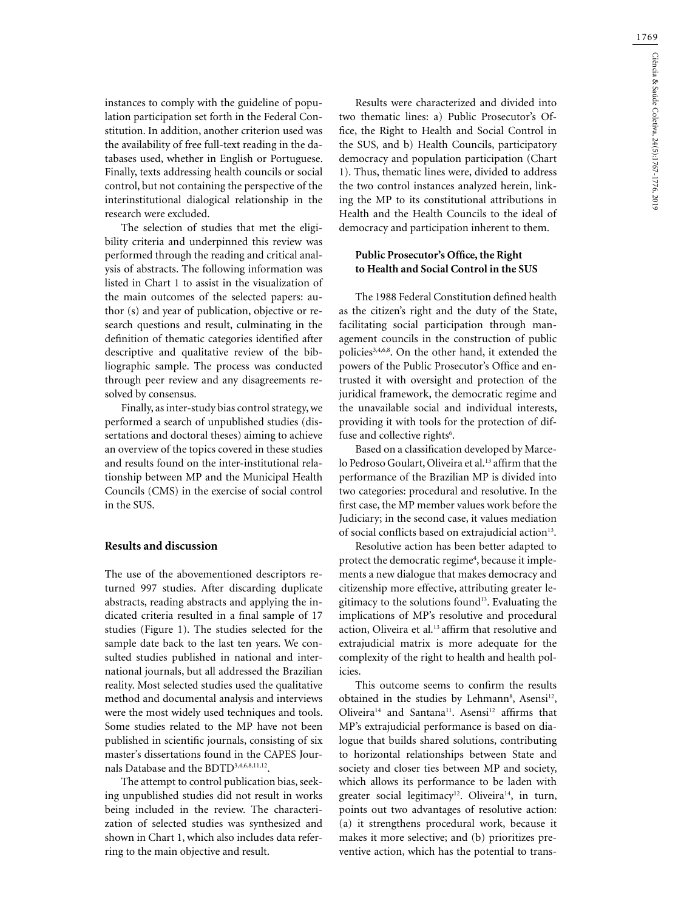instances to comply with the guideline of population participation set forth in the Federal Constitution. In addition, another criterion used was the availability of free full-text reading in the databases used, whether in English or Portuguese. Finally, texts addressing health councils or social control, but not containing the perspective of the interinstitutional dialogical relationship in the research were excluded.

The selection of studies that met the eligibility criteria and underpinned this review was performed through the reading and critical analysis of abstracts. The following information was listed in Chart 1 to assist in the visualization of the main outcomes of the selected papers: author (s) and year of publication, objective or research questions and result, culminating in the definition of thematic categories identified after descriptive and qualitative review of the bibliographic sample. The process was conducted through peer review and any disagreements resolved by consensus.

Finally, as inter-study bias control strategy, we performed a search of unpublished studies (dissertations and doctoral theses) aiming to achieve an overview of the topics covered in these studies and results found on the inter-institutional relationship between MP and the Municipal Health Councils (CMS) in the exercise of social control in the SUS.

#### **Results and discussion**

The use of the abovementioned descriptors returned 997 studies. After discarding duplicate abstracts, reading abstracts and applying the indicated criteria resulted in a final sample of 17 studies (Figure 1). The studies selected for the sample date back to the last ten years. We consulted studies published in national and international journals, but all addressed the Brazilian reality. Most selected studies used the qualitative method and documental analysis and interviews were the most widely used techniques and tools. Some studies related to the MP have not been published in scientific journals, consisting of six master's dissertations found in the CAPES Journals Database and the BDTD3,4,6,8,11,12.

The attempt to control publication bias, seeking unpublished studies did not result in works being included in the review. The characterization of selected studies was synthesized and shown in Chart 1, which also includes data referring to the main objective and result.

Results were characterized and divided into two thematic lines: a) Public Prosecutor's Office, the Right to Health and Social Control in the SUS, and b) Health Councils, participatory democracy and population participation (Chart 1). Thus, thematic lines were, divided to address the two control instances analyzed herein, linking the MP to its constitutional attributions in Health and the Health Councils to the ideal of democracy and participation inherent to them.

### **Public Prosecutor's Office, the Right to Health and Social Control in the SUS**

The 1988 Federal Constitution defined health as the citizen's right and the duty of the State, facilitating social participation through management councils in the construction of public policies<sup>3,4,6,8</sup>. On the other hand, it extended the powers of the Public Prosecutor's Office and entrusted it with oversight and protection of the juridical framework, the democratic regime and the unavailable social and individual interests, providing it with tools for the protection of diffuse and collective rights<sup>6</sup>.

Based on a classification developed by Marcelo Pedroso Goulart, Oliveira et al.<sup>13</sup> affirm that the performance of the Brazilian MP is divided into two categories: procedural and resolutive. In the first case, the MP member values work before the Judiciary; in the second case, it values mediation of social conflicts based on extrajudicial action<sup>13</sup>.

Resolutive action has been better adapted to protect the democratic regime<sup>4</sup>, because it implements a new dialogue that makes democracy and citizenship more effective, attributing greater legitimacy to the solutions found<sup>13</sup>. Evaluating the implications of MP's resolutive and procedural action, Oliveira et al.<sup>13</sup> affirm that resolutive and extrajudicial matrix is more adequate for the complexity of the right to health and health policies.

This outcome seems to confirm the results obtained in the studies by Lehmann<sup>8</sup>, Asensi<sup>12</sup>, Oliveira<sup>14</sup> and Santana<sup>11</sup>. Asensi<sup>12</sup> affirms that MP's extrajudicial performance is based on dialogue that builds shared solutions, contributing to horizontal relationships between State and society and closer ties between MP and society, which allows its performance to be laden with greater social legitimacy<sup>12</sup>. Oliveira<sup>14</sup>, in turn, points out two advantages of resolutive action: (a) it strengthens procedural work, because it makes it more selective; and (b) prioritizes preventive action, which has the potential to trans-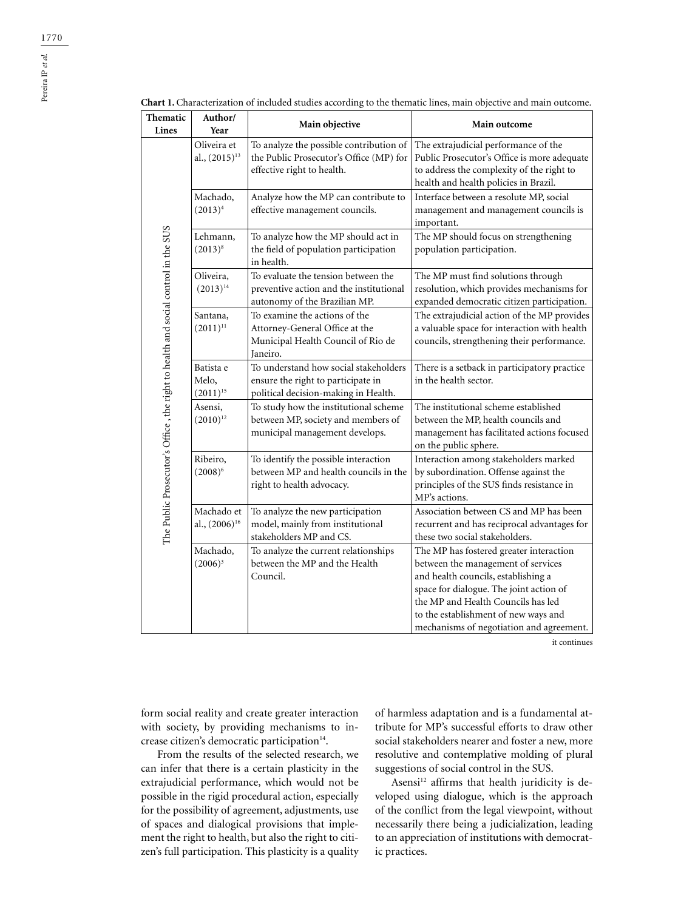| Thematic                                                                           | Author/                                 | Main objective                                                                                                      | Main outcome                                                                                                                                                                                                                                                                              |
|------------------------------------------------------------------------------------|-----------------------------------------|---------------------------------------------------------------------------------------------------------------------|-------------------------------------------------------------------------------------------------------------------------------------------------------------------------------------------------------------------------------------------------------------------------------------------|
| Lines                                                                              | Year<br>Oliveira et                     | To analyze the possible contribution of                                                                             | The extrajudicial performance of the                                                                                                                                                                                                                                                      |
| The Public Prosecutor's Office , the right to health and social control in the SUS | al., (2015) <sup>13</sup>               | the Public Prosecutor's Office (MP) for<br>effective right to health.                                               | Public Prosecutor's Office is more adequate<br>to address the complexity of the right to<br>health and health policies in Brazil.                                                                                                                                                         |
|                                                                                    | Machado,<br>$(2013)^4$                  | Analyze how the MP can contribute to<br>effective management councils.                                              | Interface between a resolute MP, social<br>management and management councils is<br>important.                                                                                                                                                                                            |
|                                                                                    | Lehmann,<br>$(2013)^{8}$                | To analyze how the MP should act in<br>the field of population participation<br>in health.                          | The MP should focus on strengthening<br>population participation.                                                                                                                                                                                                                         |
|                                                                                    | Oliveira,<br>$(2013)^{14}$              | To evaluate the tension between the<br>preventive action and the institutional<br>autonomy of the Brazilian MP.     | The MP must find solutions through<br>resolution, which provides mechanisms for<br>expanded democratic citizen participation.                                                                                                                                                             |
|                                                                                    | Santana,<br>$(2011)^{11}$               | To examine the actions of the<br>Attorney-General Office at the<br>Municipal Health Council of Rio de<br>Janeiro.   | The extrajudicial action of the MP provides<br>a valuable space for interaction with health<br>councils, strengthening their performance.                                                                                                                                                 |
|                                                                                    | Batista e<br>Melo,<br>$(2011)^{15}$     | To understand how social stakeholders<br>ensure the right to participate in<br>political decision-making in Health. | There is a setback in participatory practice<br>in the health sector.                                                                                                                                                                                                                     |
|                                                                                    | Asensi,<br>$(2010)^{12}$                | To study how the institutional scheme<br>between MP, society and members of<br>municipal management develops.       | The institutional scheme established<br>between the MP, health councils and<br>management has facilitated actions focused<br>on the public sphere.                                                                                                                                        |
|                                                                                    | Ribeiro,<br>$(2008)^6$                  | To identify the possible interaction<br>between MP and health councils in the<br>right to health advocacy.          | Interaction among stakeholders marked<br>by subordination. Offense against the<br>principles of the SUS finds resistance in<br>MP's actions.                                                                                                                                              |
|                                                                                    | Machado et<br>al., (2006) <sup>16</sup> | To analyze the new participation<br>model, mainly from institutional<br>stakeholders MP and CS.                     | Association between CS and MP has been<br>recurrent and has reciprocal advantages for<br>these two social stakeholders.                                                                                                                                                                   |
|                                                                                    | Machado,<br>$(2006)^3$                  | To analyze the current relationships<br>between the MP and the Health<br>Council.                                   | The MP has fostered greater interaction<br>between the management of services<br>and health councils, establishing a<br>space for dialogue. The joint action of<br>the MP and Health Councils has led<br>to the establishment of new ways and<br>mechanisms of negotiation and agreement. |

**Chart 1.** Characterization of included studies according to the thematic lines, main objective and main outcome.

it continues

form social reality and create greater interaction with society, by providing mechanisms to increase citizen's democratic participation<sup>14</sup>.

From the results of the selected research, we can infer that there is a certain plasticity in the extrajudicial performance, which would not be possible in the rigid procedural action, especially for the possibility of agreement, adjustments, use of spaces and dialogical provisions that implement the right to health, but also the right to citizen's full participation. This plasticity is a quality

of harmless adaptation and is a fundamental attribute for MP's successful efforts to draw other social stakeholders nearer and foster a new, more resolutive and contemplative molding of plural suggestions of social control in the SUS.

Asensi<sup>12</sup> affirms that health juridicity is developed using dialogue, which is the approach of the conflict from the legal viewpoint, without necessarily there being a judicialization, leading to an appreciation of institutions with democratic practices.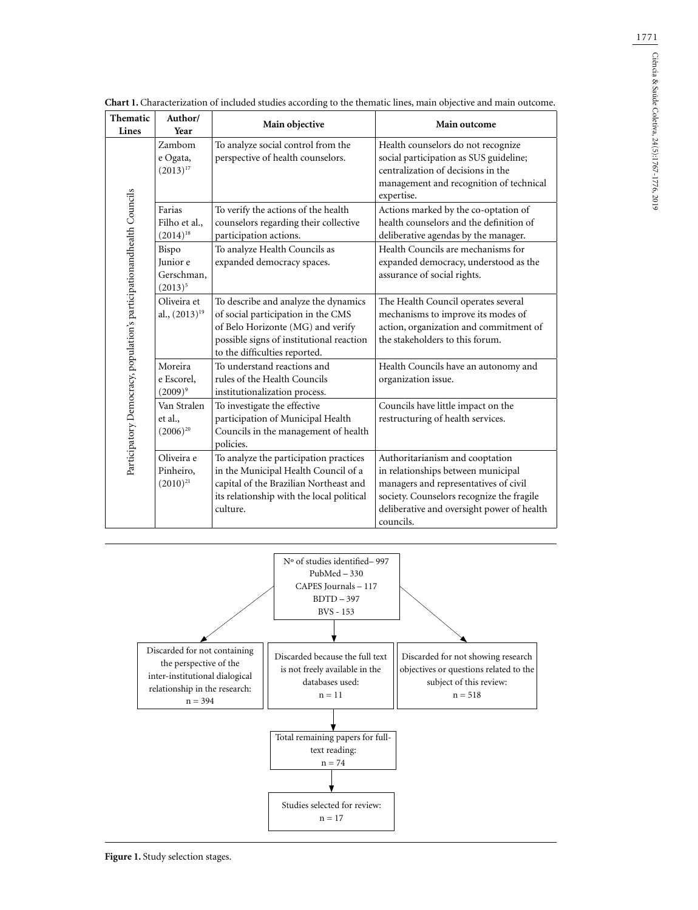| Thematic<br>Lines                                                     | Author/<br>Year                               | Main objective                                                                                                                                                                               | Main outcome                                                                                                                                                                                                           |
|-----------------------------------------------------------------------|-----------------------------------------------|----------------------------------------------------------------------------------------------------------------------------------------------------------------------------------------------|------------------------------------------------------------------------------------------------------------------------------------------------------------------------------------------------------------------------|
| Participatory Democracy, population's participationandhealth Councils | Zambom<br>e Ogata,<br>$(2013)^{17}$           | To analyze social control from the<br>perspective of health counselors.                                                                                                                      | Health counselors do not recognize<br>social participation as SUS guideline;<br>centralization of decisions in the<br>management and recognition of technical<br>expertise.                                            |
|                                                                       | Farias<br>Filho et al.,<br>$(2014)^{18}$      | To verify the actions of the health<br>counselors regarding their collective<br>participation actions.                                                                                       | Actions marked by the co-optation of<br>health counselors and the definition of<br>deliberative agendas by the manager.                                                                                                |
|                                                                       | Bispo<br>Junior e<br>Gerschman,<br>$(2013)^5$ | To analyze Health Councils as<br>expanded democracy spaces.                                                                                                                                  | Health Councils are mechanisms for<br>expanded democracy, understood as the<br>assurance of social rights.                                                                                                             |
|                                                                       | Oliveira et<br>al., $(2013)^{19}$             | To describe and analyze the dynamics<br>of social participation in the CMS<br>of Belo Horizonte (MG) and verify<br>possible signs of institutional reaction<br>to the difficulties reported. | The Health Council operates several<br>mechanisms to improve its modes of<br>action, organization and commitment of<br>the stakeholders to this forum.                                                                 |
|                                                                       | Moreira<br>e Escorel,<br>$(2009)^9$           | To understand reactions and<br>rules of the Health Councils<br>institutionalization process.                                                                                                 | Health Councils have an autonomy and<br>organization issue.                                                                                                                                                            |
|                                                                       | Van Stralen<br>et al.,<br>$(2006)^{20}$       | To investigate the effective<br>participation of Municipal Health<br>Councils in the management of health<br>policies.                                                                       | Councils have little impact on the<br>restructuring of health services.                                                                                                                                                |
|                                                                       | Oliveira e<br>Pinheiro,<br>$(2010)^{21}$      | To analyze the participation practices<br>in the Municipal Health Council of a<br>capital of the Brazilian Northeast and<br>its relationship with the local political<br>culture.            | Authoritarianism and cooptation<br>in relationships between municipal<br>managers and representatives of civil<br>society. Counselors recognize the fragile<br>deliberative and oversight power of health<br>councils. |

**Chart 1.** Characterization of included studies according to the thematic lines, main objective and main outcome.

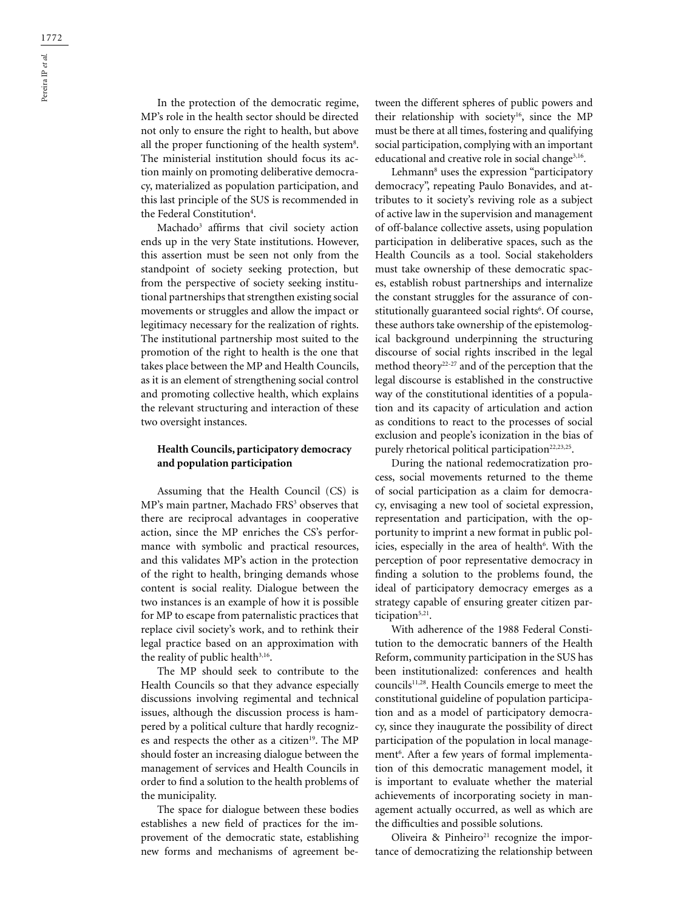In the protection of the democratic regime, MP's role in the health sector should be directed not only to ensure the right to health, but above all the proper functioning of the health system<sup>8</sup>. The ministerial institution should focus its action mainly on promoting deliberative democracy, materialized as population participation, and this last principle of the SUS is recommended in the Federal Constitution<sup>4</sup>.

Machado3 affirms that civil society action ends up in the very State institutions. However, this assertion must be seen not only from the standpoint of society seeking protection, but from the perspective of society seeking institutional partnerships that strengthen existing social movements or struggles and allow the impact or legitimacy necessary for the realization of rights. The institutional partnership most suited to the promotion of the right to health is the one that takes place between the MP and Health Councils, as it is an element of strengthening social control and promoting collective health, which explains the relevant structuring and interaction of these two oversight instances.

## **Health Councils, participatory democracy and population participation**

Assuming that the Health Council (CS) is MP's main partner, Machado FRS<sup>3</sup> observes that there are reciprocal advantages in cooperative action, since the MP enriches the CS's performance with symbolic and practical resources, and this validates MP's action in the protection of the right to health, bringing demands whose content is social reality. Dialogue between the two instances is an example of how it is possible for MP to escape from paternalistic practices that replace civil society's work, and to rethink their legal practice based on an approximation with the reality of public health<sup>3,16</sup>.

The MP should seek to contribute to the Health Councils so that they advance especially discussions involving regimental and technical issues, although the discussion process is hampered by a political culture that hardly recognizes and respects the other as a citizen<sup>19</sup>. The MP should foster an increasing dialogue between the management of services and Health Councils in order to find a solution to the health problems of the municipality.

The space for dialogue between these bodies establishes a new field of practices for the improvement of the democratic state, establishing new forms and mechanisms of agreement between the different spheres of public powers and their relationship with society<sup>16</sup>, since the MP must be there at all times, fostering and qualifying social participation, complying with an important educational and creative role in social change<sup>3,16</sup>.

Lehmann<sup>8</sup> uses the expression "participatory democracy", repeating Paulo Bonavides, and attributes to it society's reviving role as a subject of active law in the supervision and management of off-balance collective assets, using population participation in deliberative spaces, such as the Health Councils as a tool. Social stakeholders must take ownership of these democratic spaces, establish robust partnerships and internalize the constant struggles for the assurance of constitutionally guaranteed social rights<sup>6</sup>. Of course, these authors take ownership of the epistemological background underpinning the structuring discourse of social rights inscribed in the legal method theory<sup>22-27</sup> and of the perception that the legal discourse is established in the constructive way of the constitutional identities of a population and its capacity of articulation and action as conditions to react to the processes of social exclusion and people's iconization in the bias of purely rhetorical political participation<sup>22,23,25</sup>.

During the national redemocratization process, social movements returned to the theme of social participation as a claim for democracy, envisaging a new tool of societal expression, representation and participation, with the opportunity to imprint a new format in public policies, especially in the area of health<sup>6</sup>. With the perception of poor representative democracy in finding a solution to the problems found, the ideal of participatory democracy emerges as a strategy capable of ensuring greater citizen participation<sup>5,21</sup>.

With adherence of the 1988 Federal Constitution to the democratic banners of the Health Reform, community participation in the SUS has been institutionalized: conferences and health councils<sup>11,28</sup>. Health Councils emerge to meet the constitutional guideline of population participation and as a model of participatory democracy, since they inaugurate the possibility of direct participation of the population in local management<sup>6</sup>. After a few years of formal implementation of this democratic management model, it is important to evaluate whether the material achievements of incorporating society in management actually occurred, as well as which are the difficulties and possible solutions.

Oliveira & Pinheiro<sup>21</sup> recognize the importance of democratizing the relationship between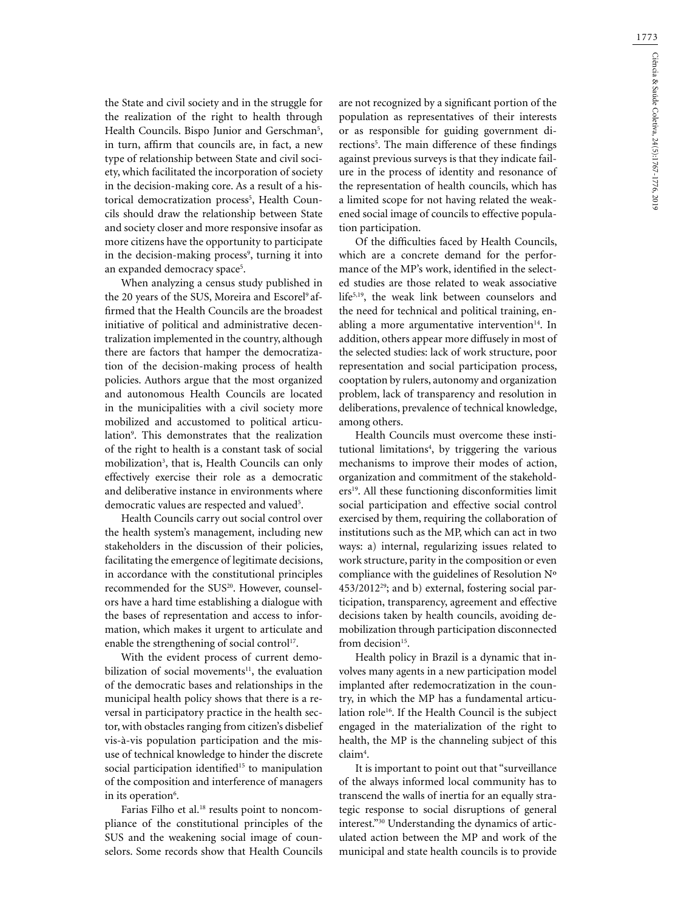the State and civil society and in the struggle for the realization of the right to health through Health Councils. Bispo Junior and Gerschman<sup>5</sup>, in turn, affirm that councils are, in fact, a new type of relationship between State and civil society, which facilitated the incorporation of society in the decision-making core. As a result of a historical democratization process<sup>5</sup>, Health Councils should draw the relationship between State and society closer and more responsive insofar as more citizens have the opportunity to participate in the decision-making process<sup>9</sup>, turning it into an expanded democracy space<sup>5</sup>.

When analyzing a census study published in the 20 years of the SUS, Moreira and Escorel<sup>9</sup> affirmed that the Health Councils are the broadest initiative of political and administrative decentralization implemented in the country, although there are factors that hamper the democratization of the decision-making process of health policies. Authors argue that the most organized and autonomous Health Councils are located in the municipalities with a civil society more mobilized and accustomed to political articulation<sup>9</sup>. This demonstrates that the realization of the right to health is a constant task of social mobilization<sup>3</sup>, that is, Health Councils can only effectively exercise their role as a democratic and deliberative instance in environments where democratic values are respected and valued<sup>5</sup>.

Health Councils carry out social control over the health system's management, including new stakeholders in the discussion of their policies, facilitating the emergence of legitimate decisions, in accordance with the constitutional principles recommended for the SUS<sup>20</sup>. However, counselors have a hard time establishing a dialogue with the bases of representation and access to information, which makes it urgent to articulate and enable the strengthening of social control<sup>17</sup>.

With the evident process of current demobilization of social movements<sup>11</sup>, the evaluation of the democratic bases and relationships in the municipal health policy shows that there is a reversal in participatory practice in the health sector, with obstacles ranging from citizen's disbelief vis-à-vis population participation and the misuse of technical knowledge to hinder the discrete social participation identified<sup>15</sup> to manipulation of the composition and interference of managers in its operation<sup>6</sup>.

Farias Filho et al.<sup>18</sup> results point to noncompliance of the constitutional principles of the SUS and the weakening social image of counselors. Some records show that Health Councils

are not recognized by a significant portion of the population as representatives of their interests or as responsible for guiding government directions<sup>5</sup>. The main difference of these findings against previous surveys is that they indicate failure in the process of identity and resonance of the representation of health councils, which has a limited scope for not having related the weakened social image of councils to effective population participation.

Of the difficulties faced by Health Councils, which are a concrete demand for the performance of the MP's work, identified in the selected studies are those related to weak associative life5,19, the weak link between counselors and the need for technical and political training, enabling a more argumentative intervention<sup>14</sup>. In addition, others appear more diffusely in most of the selected studies: lack of work structure, poor representation and social participation process, cooptation by rulers, autonomy and organization problem, lack of transparency and resolution in deliberations, prevalence of technical knowledge, among others.

Health Councils must overcome these institutional limitations<sup>4</sup>, by triggering the various mechanisms to improve their modes of action, organization and commitment of the stakeholders<sup>19</sup>. All these functioning disconformities limit social participation and effective social control exercised by them, requiring the collaboration of institutions such as the MP, which can act in two ways: a) internal, regularizing issues related to work structure, parity in the composition or even compliance with the guidelines of Resolution Nº  $453/2012^{29}$ ; and b) external, fostering social participation, transparency, agreement and effective decisions taken by health councils, avoiding demobilization through participation disconnected from decision $15$ .

Health policy in Brazil is a dynamic that involves many agents in a new participation model implanted after redemocratization in the country, in which the MP has a fundamental articulation role<sup>16</sup>. If the Health Council is the subject engaged in the materialization of the right to health, the MP is the channeling subject of this claim<sup>4</sup>.

It is important to point out that "surveillance of the always informed local community has to transcend the walls of inertia for an equally strategic response to social disruptions of general interest."30 Understanding the dynamics of articulated action between the MP and work of the municipal and state health councils is to provide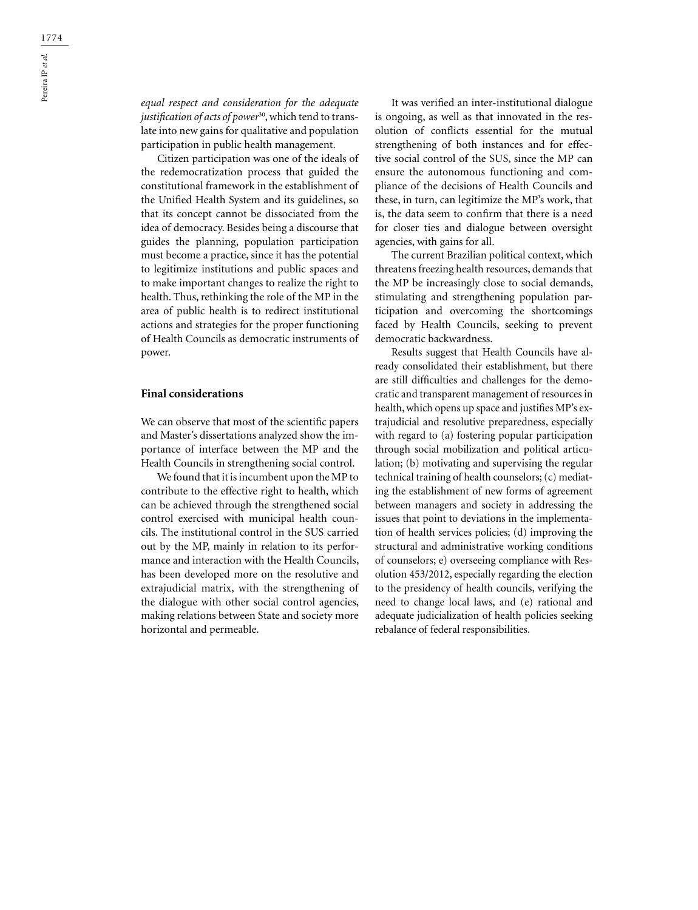*equal respect and consideration for the adequate*  justification of acts of power<sup>30</sup>, which tend to translate into new gains for qualitative and population participation in public health management.

Citizen participation was one of the ideals of the redemocratization process that guided the constitutional framework in the establishment of the Unified Health System and its guidelines, so that its concept cannot be dissociated from the idea of democracy. Besides being a discourse that guides the planning, population participation must become a practice, since it has the potential to legitimize institutions and public spaces and to make important changes to realize the right to health. Thus, rethinking the role of the MP in the area of public health is to redirect institutional actions and strategies for the proper functioning of Health Councils as democratic instruments of power.

#### **Final considerations**

We can observe that most of the scientific papers and Master's dissertations analyzed show the importance of interface between the MP and the Health Councils in strengthening social control.

We found that it is incumbent upon the MP to contribute to the effective right to health, which can be achieved through the strengthened social control exercised with municipal health councils. The institutional control in the SUS carried out by the MP, mainly in relation to its performance and interaction with the Health Councils, has been developed more on the resolutive and extrajudicial matrix, with the strengthening of the dialogue with other social control agencies, making relations between State and society more horizontal and permeable.

It was verified an inter-institutional dialogue is ongoing, as well as that innovated in the resolution of conflicts essential for the mutual strengthening of both instances and for effective social control of the SUS, since the MP can ensure the autonomous functioning and compliance of the decisions of Health Councils and these, in turn, can legitimize the MP's work, that is, the data seem to confirm that there is a need for closer ties and dialogue between oversight agencies, with gains for all.

The current Brazilian political context, which threatens freezing health resources, demands that the MP be increasingly close to social demands, stimulating and strengthening population participation and overcoming the shortcomings faced by Health Councils, seeking to prevent democratic backwardness.

Results suggest that Health Councils have already consolidated their establishment, but there are still difficulties and challenges for the democratic and transparent management of resources in health, which opens up space and justifies MP's extrajudicial and resolutive preparedness, especially with regard to (a) fostering popular participation through social mobilization and political articulation; (b) motivating and supervising the regular technical training of health counselors; (c) mediating the establishment of new forms of agreement between managers and society in addressing the issues that point to deviations in the implementation of health services policies; (d) improving the structural and administrative working conditions of counselors; e) overseeing compliance with Resolution 453/2012, especially regarding the election to the presidency of health councils, verifying the need to change local laws, and (e) rational and adequate judicialization of health policies seeking rebalance of federal responsibilities.

 $\frac{1774}{\text{at } \text{at } \text{in } \text{in}}$ Pereira IP *et al.*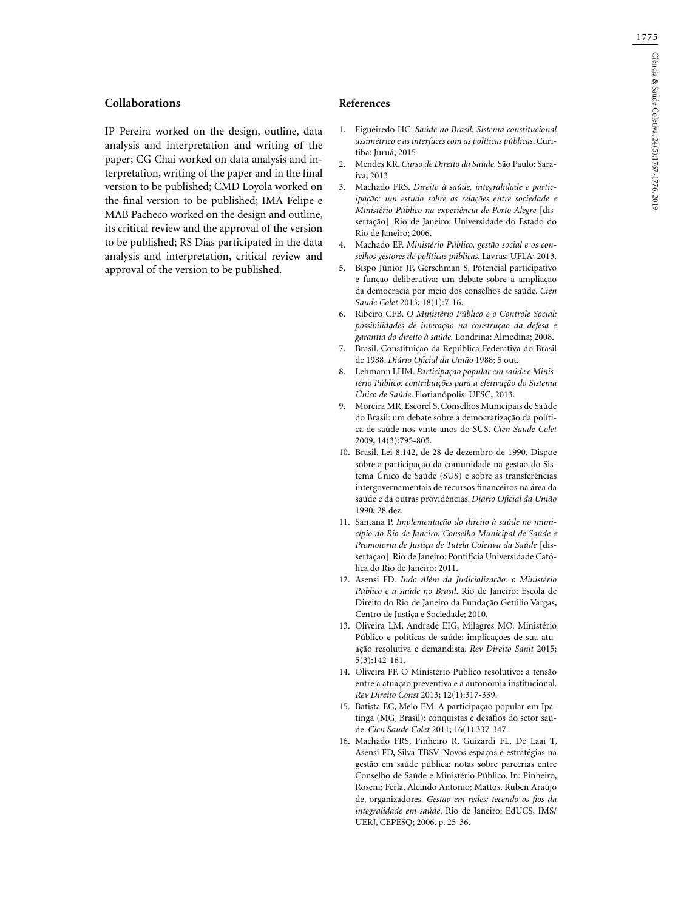### **Collaborations**

IP Pereira worked on the design, outline, data analysis and interpretation and writing of the paper; CG Chai worked on data analysis and interpretation, writing of the paper and in the final version to be published; CMD Loyola worked on the final version to be published; IMA Felipe e MAB Pacheco worked on the design and outline, its critical review and the approval of the version to be published; RS Dias participated in the data analysis and interpretation, critical review and approval of the version to be published.

#### **References**

- 1. Figueiredo HC. *Saúde no Brasil: Sistema constitucional assimétrico e as interfaces com as políticas públicas*. Curitiba: Juruá; 2015
- 2. Mendes KR. *Curso de Direito da Saúde*. São Paulo: Saraiva; 2013
- 3. Machado FRS. *Direito à saúde, integralidade e participação: um estudo sobre as relações entre sociedade e Ministério Público na experiência de Porto Alegre* [dissertação]. Rio de Janeiro: Universidade do Estado do Rio de Janeiro; 2006.
- 4. Machado EP. *Ministério Público, gestão social e os conselhos gestores de políticas públicas*. Lavras: UFLA; 2013.
- 5. Bispo Júnior JP, Gerschman S. Potencial participativo e função deliberativa: um debate sobre a ampliação da democracia por meio dos conselhos de saúde. *Cien Saude Colet* 2013; 18(1):7-16.
- 6. Ribeiro CFB. *O Ministério Público e o Controle Social: possibilidades de interação na construção da defesa e garantia do direito à saúde.* Londrina: Almedina; 2008.
- 7. Brasil. Constituição da República Federativa do Brasil de 1988. *Diário Oficial da União* 1988; 5 out.
- 8. Lehmann LHM. *Participação popular em saúde e Ministério Público: contribuições para a efetivação do Sistema Único de Saúde*. Florianópolis: UFSC; 2013.
- 9. Moreira MR, Escorel S. Conselhos Municipais de Saúde do Brasil: um debate sobre a democratização da política de saúde nos vinte anos do SUS. *Cien Saude Colet* 2009; 14(3):795-805.
- 10. Brasil. Lei 8.142, de 28 de dezembro de 1990. Dispõe sobre a participação da comunidade na gestão do Sistema Único de Saúde (SUS) e sobre as transferências intergovernamentais de recursos financeiros na área da saúde e dá outras providências. *Diário Oficial da União*  1990; 28 dez.
- 11. Santana P. *Implementação do direito à saúde no município do Rio de Janeiro: Conselho Municipal de Saúde e Promotoria de Justiça de Tutela Coletiva da Saúde* [dissertação]. Rio de Janeiro: Pontifícia Universidade Católica do Rio de Janeiro; 2011.
- 12. Asensi FD*. Indo Além da Judicialização: o Ministério Público e a saúde no Brasil*. Rio de Janeiro: Escola de Direito do Rio de Janeiro da Fundação Getúlio Vargas, Centro de Justiça e Sociedade; 2010.
- 13. Oliveira LM, Andrade EIG, Milagres MO. Ministério Público e políticas de saúde: implicações de sua atuação resolutiva e demandista. *Rev Direito Sanit* 2015; 5(3):142-161.
- 14. Oliveira FF. O Ministério Público resolutivo: a tensão entre a atuação preventiva e a autonomia institucional. *Rev Direito Const* 2013; 12(1):317-339.
- 15. Batista EC, Melo EM. A participação popular em Ipatinga (MG, Brasil): conquistas e desafios do setor saúde. *Cien Saude Colet* 2011; 16(1):337-347.
- 16. Machado FRS, Pinheiro R, Guizardi FL, De Laai T, Asensi FD, Silva TBSV. Novos espaços e estratégias na gestão em saúde pública: notas sobre parcerias entre Conselho de Saúde e Ministério Público. In: Pinheiro, Roseni; Ferla, Alcindo Antonio; Mattos, Ruben Araújo de, organizadores. *Gestão em redes: tecendo os fios da integralidade em saúde*. Rio de Janeiro: EdUCS, IMS/ UERJ, CEPESQ; 2006. p. 25-36.